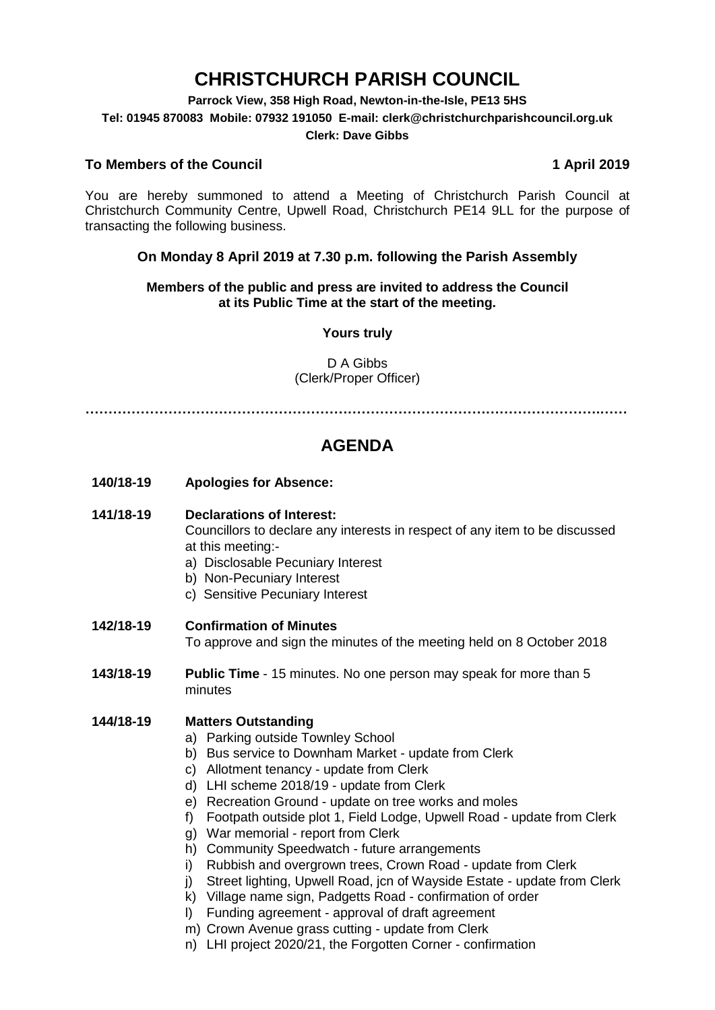# **CHRISTCHURCH PARISH COUNCIL**

#### **Parrock View, 358 High Road, Newton-in-the-Isle, PE13 5HS**

**Tel: 01945 870083 Mobile: 07932 191050 E-mail: clerk@christchurchparishcouncil.org.uk**

#### **Clerk: Dave Gibbs**

#### **To Members of the Council 1 April 2019**

You are hereby summoned to attend a Meeting of Christchurch Parish Council at Christchurch Community Centre, Upwell Road, Christchurch PE14 9LL for the purpose of transacting the following business.

### **On Monday 8 April 2019 at 7.30 p.m. following the Parish Assembly**

#### **Members of the public and press are invited to address the Council at its Public Time at the start of the meeting.**

#### **Yours truly**

### D A Gibbs (Clerk/Proper Officer)

**………………………………………………………………………………………………….……**

## **AGENDA**

**140/18-19 Apologies for Absence:** 

#### **141/18-19 Declarations of Interest:**

Councillors to declare any interests in respect of any item to be discussed at this meeting:-

- a) Disclosable Pecuniary Interest
- b) Non-Pecuniary Interest
- c) Sensitive Pecuniary Interest

#### **142/18-19 Confirmation of Minutes**

To approve and sign the minutes of the meeting held on 8 October 2018

**143/18-19 Public Time** - 15 minutes. No one person may speak for more than 5 minutes

#### **144/18-19 Matters Outstanding**

- a) Parking outside Townley School
- b) Bus service to Downham Market update from Clerk
- c) Allotment tenancy update from Clerk
- d) LHI scheme 2018/19 update from Clerk
- e) Recreation Ground update on tree works and moles
- f) Footpath outside plot 1, Field Lodge, Upwell Road update from Clerk
- g) War memorial report from Clerk
- h) Community Speedwatch future arrangements
- i) Rubbish and overgrown trees, Crown Road update from Clerk
- j) Street lighting, Upwell Road, jcn of Wayside Estate update from Clerk
- k) Village name sign, Padgetts Road confirmation of order
- l) Funding agreement approval of draft agreement
- m) Crown Avenue grass cutting update from Clerk
- n) LHI project 2020/21, the Forgotten Corner confirmation